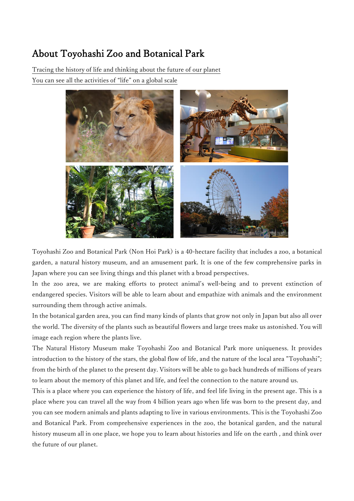## About Toyohashi Zoo and Botanical Park

Tracing the history of life and thinking about the future of our planet You can see all the activities of "life" on a global scale



Toyohashi Zoo and Botanical Park (Non Hoi Park) is a 40-hectare facility that includes a zoo, a botanical garden, a natural history museum, and an amusement park. It is one of the few comprehensive parks in Japan where you can see living things and this planet with a broad perspectives.

In the zoo area, we are making efforts to protect animal's well-being and to prevent extinction of endangered species. Visitors will be able to learn about and empathize with animals and the environment surrounding them through active animals.

In the botanical garden area, you can find many kinds of plants that grow not only in Japan but also all over the world. The diversity of the plants such as beautiful flowers and large trees make us astonished. You will image each region where the plants live.

The Natural History Museum make Toyohashi Zoo and Botanical Park more uniqueness. It provides introduction to the history of the stars, the global flow of life, and the nature of the local area "Toyohashi"; from the birth of the planet to the present day. Visitors will be able to go back hundreds of millions of years to learn about the memory of this planet and life, and feel the connection to the nature around us.

This is a place where you can experience the history of life, and feel life living in the present age. This is a place where you can travel all the way from 4 billion years ago when life was born to the present day, and you can see modern animals and plants adapting to live in various environments. This is the Toyohashi Zoo and Botanical Park. From comprehensive experiences in the zoo, the botanical garden, and the natural history museum all in one place, we hope you to learn about histories and life on the earth , and think over the future of our planet.